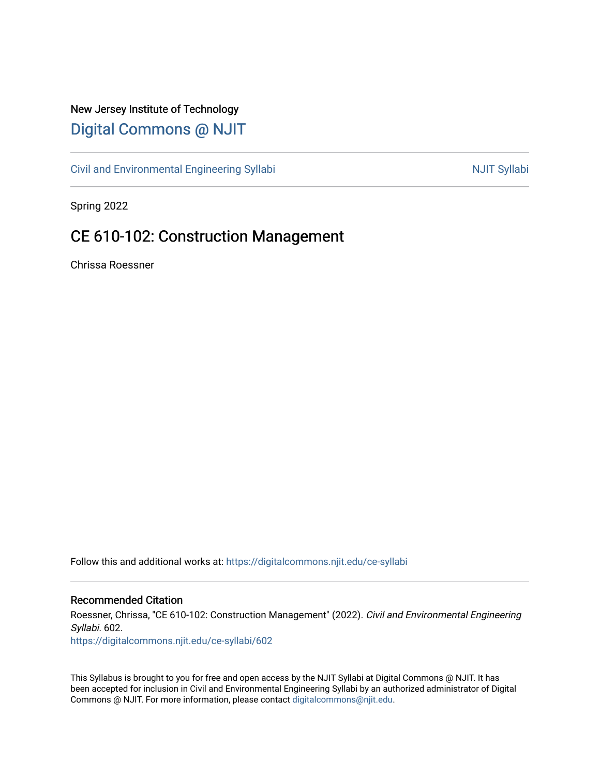## New Jersey Institute of Technology [Digital Commons @ NJIT](https://digitalcommons.njit.edu/)

[Civil and Environmental Engineering Syllabi](https://digitalcommons.njit.edu/ce-syllabi) Nulle and Syllabi NJIT Syllabi

Spring 2022

# CE 610-102: Construction Management

Chrissa Roessner

Follow this and additional works at: [https://digitalcommons.njit.edu/ce-syllabi](https://digitalcommons.njit.edu/ce-syllabi?utm_source=digitalcommons.njit.edu%2Fce-syllabi%2F602&utm_medium=PDF&utm_campaign=PDFCoverPages)

#### Recommended Citation

Roessner, Chrissa, "CE 610-102: Construction Management" (2022). Civil and Environmental Engineering Syllabi. 602.

[https://digitalcommons.njit.edu/ce-syllabi/602](https://digitalcommons.njit.edu/ce-syllabi/602?utm_source=digitalcommons.njit.edu%2Fce-syllabi%2F602&utm_medium=PDF&utm_campaign=PDFCoverPages)

This Syllabus is brought to you for free and open access by the NJIT Syllabi at Digital Commons @ NJIT. It has been accepted for inclusion in Civil and Environmental Engineering Syllabi by an authorized administrator of Digital Commons @ NJIT. For more information, please contact [digitalcommons@njit.edu.](mailto:digitalcommons@njit.edu)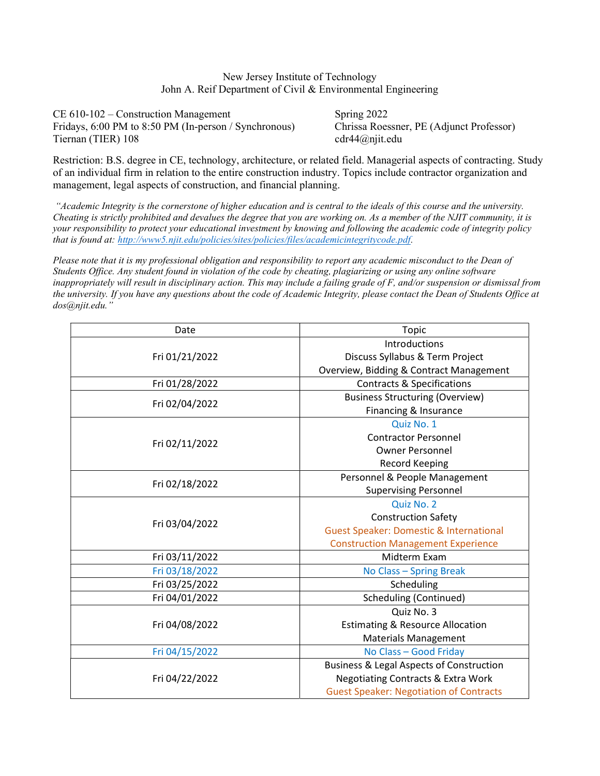New Jersey Institute of Technology John A. Reif Department of Civil & Environmental Engineering

CE 610-102 – Construction Management Spring 2022 Fridays, 6:00 PM to 8:50 PM (In-person / Synchronous) Chrissa Roessner, PE (Adjunct Professor) Tiernan (TIER) 108 cdr44@njit.edu

Restriction: B.S. degree in CE, technology, architecture, or related field. Managerial aspects of contracting. Study of an individual firm in relation to the entire construction industry. Topics include contractor organization and management, legal aspects of construction, and financial planning.

 "Academic Integrity is the cornerstone of higher education and is central to the ideals of this course and the university. Cheating is strictly prohibited and devalues the degree that you are working on. As a member of the NJIT community, it is your responsibility to protect your educational investment by knowing and following the academic code of integrity policy that is found at: http://www5.njit.edu/policies/sites/policies/files/academicintegritycode.pdf.

Please note that it is my professional obligation and responsibility to report any academic misconduct to the Dean of Students Office. Any student found in violation of the code by cheating, plagiarizing or using any online software inappropriately will result in disciplinary action. This may include a failing grade of F, and/or suspension or dismissal from the university. If you have any questions about the code of Academic Integrity, please contact the Dean of Students Office at dos@njit.edu."

| Date           | Topic                                               |  |  |
|----------------|-----------------------------------------------------|--|--|
|                | Introductions                                       |  |  |
| Fri 01/21/2022 | Discuss Syllabus & Term Project                     |  |  |
|                | Overview, Bidding & Contract Management             |  |  |
| Fri 01/28/2022 | <b>Contracts &amp; Specifications</b>               |  |  |
| Fri 02/04/2022 | <b>Business Structuring (Overview)</b>              |  |  |
|                | Financing & Insurance                               |  |  |
| Fri 02/11/2022 | Quiz No. 1                                          |  |  |
|                | <b>Contractor Personnel</b>                         |  |  |
|                | <b>Owner Personnel</b>                              |  |  |
|                | Record Keeping                                      |  |  |
| Fri 02/18/2022 | Personnel & People Management                       |  |  |
|                | <b>Supervising Personnel</b>                        |  |  |
| Fri 03/04/2022 | Quiz No. 2                                          |  |  |
|                | <b>Construction Safety</b>                          |  |  |
|                | <b>Guest Speaker: Domestic &amp; International</b>  |  |  |
|                | <b>Construction Management Experience</b>           |  |  |
| Fri 03/11/2022 | Midterm Exam                                        |  |  |
| Fri 03/18/2022 | No Class - Spring Break                             |  |  |
| Fri 03/25/2022 | Scheduling                                          |  |  |
| Fri 04/01/2022 | <b>Scheduling (Continued)</b>                       |  |  |
| Fri 04/08/2022 | Quiz No. 3                                          |  |  |
|                | <b>Estimating &amp; Resource Allocation</b>         |  |  |
|                | <b>Materials Management</b>                         |  |  |
| Fri 04/15/2022 | No Class - Good Friday                              |  |  |
| Fri 04/22/2022 | <b>Business &amp; Legal Aspects of Construction</b> |  |  |
|                | <b>Negotiating Contracts &amp; Extra Work</b>       |  |  |
|                | <b>Guest Speaker: Negotiation of Contracts</b>      |  |  |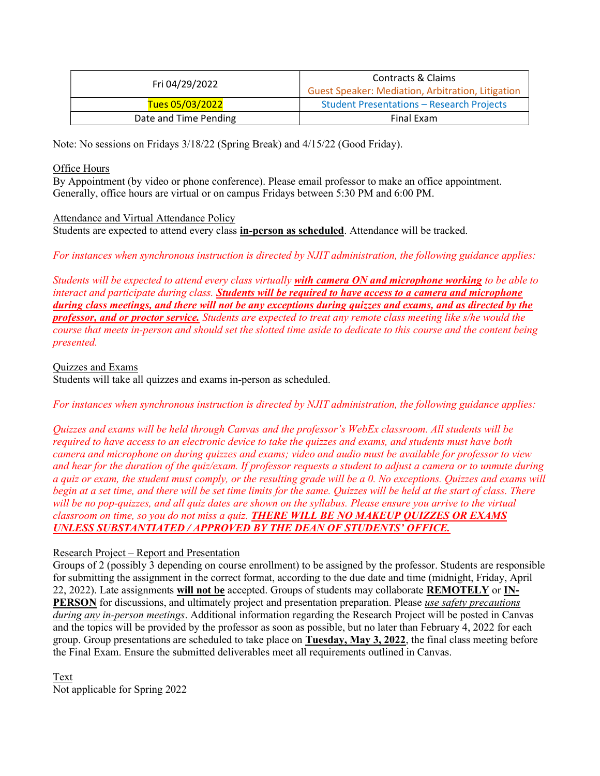| Fri 04/29/2022        | Contracts & Claims<br><b>Guest Speaker: Mediation, Arbitration, Litigation</b> |  |
|-----------------------|--------------------------------------------------------------------------------|--|
| Tues 05/03/2022       | <b>Student Presentations - Research Projects</b>                               |  |
| Date and Time Pending | Final Exam                                                                     |  |

Note: No sessions on Fridays 3/18/22 (Spring Break) and 4/15/22 (Good Friday).

#### Office Hours

By Appointment (by video or phone conference). Please email professor to make an office appointment. Generally, office hours are virtual or on campus Fridays between 5:30 PM and 6:00 PM.

#### Attendance and Virtual Attendance Policy

Students are expected to attend every class in-person as scheduled. Attendance will be tracked.

For instances when synchronous instruction is directed by NJIT administration, the following guidance applies:

Students will be expected to attend every class virtually with camera ON and microphone working to be able to interact and participate during class. Students will be required to have access to a camera and microphone during class meetings, and there will not be any exceptions during quizzes and exams, and as directed by the professor, and or proctor service. Students are expected to treat any remote class meeting like s/he would the course that meets in-person and should set the slotted time aside to dedicate to this course and the content being presented.

Quizzes and Exams

Students will take all quizzes and exams in-person as scheduled.

For instances when synchronous instruction is directed by NJIT administration, the following guidance applies:

Quizzes and exams will be held through Canvas and the professor's WebEx classroom. All students will be required to have access to an electronic device to take the quizzes and exams, and students must have both camera and microphone on during quizzes and exams; video and audio must be available for professor to view and hear for the duration of the quiz/exam. If professor requests a student to adjust a camera or to unmute during a quiz or exam, the student must comply, or the resulting grade will be a 0. No exceptions. Quizzes and exams will begin at a set time, and there will be set time limits for the same. Quizzes will be held at the start of class. There will be no pop-quizzes, and all quiz dates are shown on the syllabus. Please ensure you arrive to the virtual classroom on time, so you do not miss a quiz. THERE WILL BE NO MAKEUP QUIZZES OR EXAMS UNLESS SUBSTANTIATED / APPROVED BY THE DEAN OF STUDENTS' OFFICE.

#### Research Project – Report and Presentation

Groups of 2 (possibly 3 depending on course enrollment) to be assigned by the professor. Students are responsible for submitting the assignment in the correct format, according to the due date and time (midnight, Friday, April 22, 2022). Late assignments will not be accepted. Groups of students may collaborate REMOTELY or IN-**PERSON** for discussions, and ultimately project and presentation preparation. Please use safety precautions during any in-person meetings. Additional information regarding the Research Project will be posted in Canvas and the topics will be provided by the professor as soon as possible, but no later than February 4, 2022 for each group. Group presentations are scheduled to take place on Tuesday, May 3, 2022, the final class meeting before the Final Exam. Ensure the submitted deliverables meet all requirements outlined in Canvas.

Text Not applicable for Spring 2022